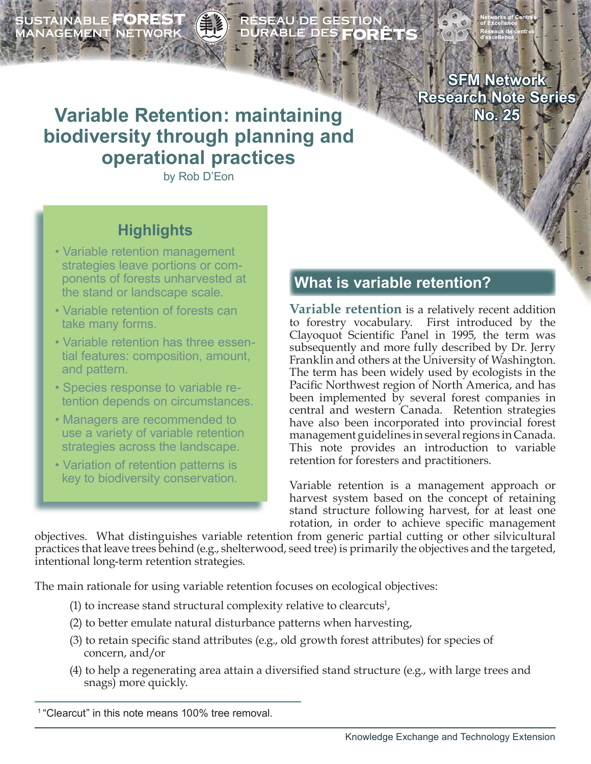SUSTAINABLE **FOREST**<br>MANAGEMENT NETWORK

ÉSEAU DE GESTION<br>URABLE DES **FORÊT**!

**SFM Network Research Note Series No. 25**

# **Variable Retention: maintaining biodiversity through planning and operational practices**

by Rob D'Eon

## **Highlights**

- Variable retention management strategies leave portions or com ponents of forests unharvested at the stand or landscape scale.
- Variable retention of forests can take many forms.
- Variable retention has three essen tial features: composition, amount, and pattern.
- Species response to variable re tention depends on circumstances.
- Managers are recommended to use a variety of variable retention strategies across the landscape.
- Variation of retention patterns is key to biodiversity conservation.

### **What is variable retention?**

**Variable retention** is a relatively recent addition to forestry vocabulary. First introduced by the Clayoquot Scientific Panel in 1995, the term was subsequently and more fully described by Dr. Jerry Franklin and others at the University of Washington. The term has been widely used by ecologists in the Pacific Northwest region of North America, and has been implemented by several forest companies in central and western Canada. Retention strategies have also been incorporated into provincial forest management guidelines in several regions in Canada. This note provides an introduction to variable retention for foresters and practitioners.

Variable retention is a management approach or harvest system based on the concept of retaining stand structure following harvest, for at least one rotation, in order to achieve specific management

objectives. What distinguishes variable retention from generic partial cutting or other silvicultural practices that leave trees behind (e.g., shelterwood, seed tree) is primarily the objectives and the targeted, intentional long-term retention strategies.

The main rationale for using variable retention focuses on ecological objectives:

- (1) to increase stand structural complexity relative to clearcuts<sup>1</sup>,
	- (2) to better emulate natural disturbance patterns when harvesting,
	- (3) to retain specific stand attributes (e.g., old growth forest attributes) for species of concern, and/or
	- (4) to help a regenerating area attain a diversified stand structure (e.g., with large trees and snags) more quickly.

<sup>&</sup>lt;sup>1</sup> "Clearcut" in this note means 100% tree removal.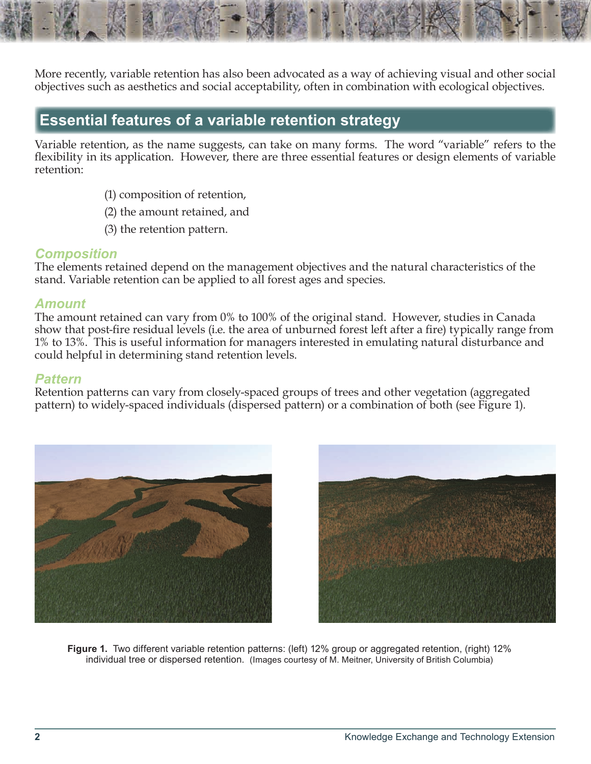More recently, variable retention has also been advocated as a way of achieving visual and other social objectives such as aesthetics and social acceptability, often in combination with ecological objectives.

### **Essential features of a variable retention strategy**

Variable retention, as the name suggests, can take on many forms. The word "variable" refers to the flexibility in its application. However, there are three essential features or design elements of variable retention:

- (1) composition of retention,
- (2) the amount retained, and
- (3) the retention pattern.

#### *Composition*

The elements retained depend on the management objectives and the natural characteristics of the stand. Variable retention can be applied to all forest ages and species.

#### *Amount*

The amount retained can vary from 0% to 100% of the original stand. However, studies in Canada show that post-fire residual levels (i.e. the area of unburned forest left after a fire) typically range from 1% to 13%. This is useful information for managers interested in emulating natural disturbance and could helpful in determining stand retention levels.

#### *Pattern*

Retention patterns can vary from closely-spaced groups of trees and other vegetation (aggregated pattern) to widely-spaced individuals (dispersed pattern) or a combination of both (see Figure 1).





**Figure 1.** Two different variable retention patterns: (left) 12% group or aggregated retention, (right) 12% individual tree or dispersed retention. (Images courtesy of M. Meitner, University of British Columbia)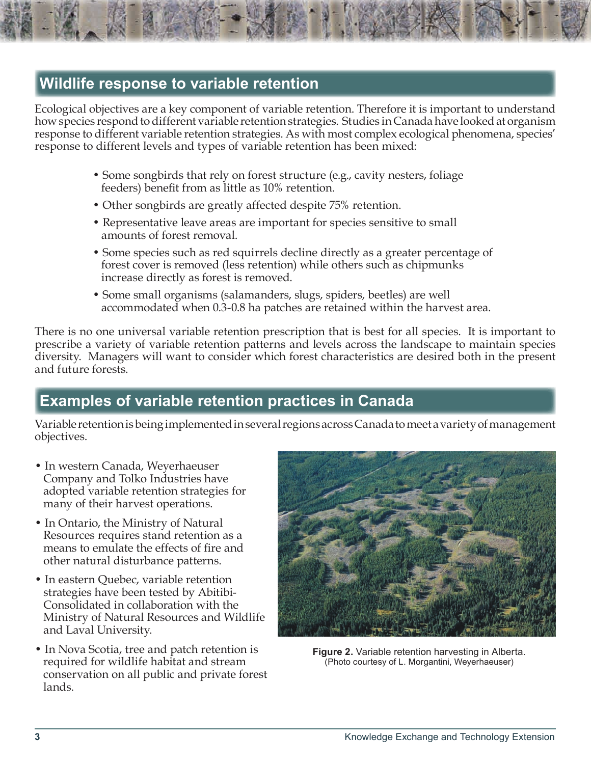### **Wildlife response to variable retention**

Ecological objectives are a key component of variable retention. Therefore it is important to understand how species respond to different variable retention strategies. Studies in Canada have looked at organism response to different variable retention strategies. As with most complex ecological phenomena, species' response to different levels and types of variable retention has been mixed:

- Some songbirds that rely on forest structure (e.g., cavity nesters, foliage feeders) benefit from as little as 10% retention.
- Other songbirds are greatly affected despite 75% retention.
- Representative leave areas are important for species sensitive to small amounts of forest removal.
- Some species such as red squirrels decline directly as a greater percentage of forest cover is removed (less retention) while others such as chipmunks increase directly as forest is removed.
- Some small organisms (salamanders, slugs, spiders, beetles) are well accommodated when 0.3-0.8 ha patches are retained within the harvest area.

There is no one universal variable retention prescription that is best for all species. It is important to prescribe a variety of variable retention patterns and levels across the landscape to maintain species diversity. Managers will want to consider which forest characteristics are desired both in the present and future forests.

## **Examples of variable retention practices in Canada**

Variable retention is being implemented in several regions across Canada to meet a variety of management objectives.

- In western Canada, Weyerhaeuser Company and Tolko Industries have adopted variable retention strategies for many of their harvest operations.
- In Ontario, the Ministry of Natural Resources requires stand retention as a means to emulate the effects of fire and other natural disturbance patterns.
- In eastern Quebec, variable retention strategies have been tested by Abitibi- Consolidated in collaboration with the Ministry of Natural Resources and Wildlife and Laval University.
- In Nova Scotia, tree and patch retention is required for wildlife habitat and stream conservation on all public and private forest lands.



**Figure 2.** Variable retention harvesting in Alberta. (Photo courtesy of L. Morgantini, Weyerhaeuser)